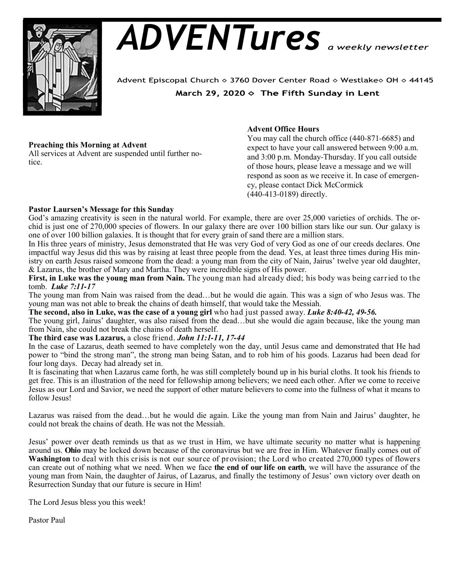

# *ADVENTures*

Advent Episcopal Church ◇ 3760 Dover Center Road ◇ Westlake◇ OH ◇ 44145 March 29, 2020  $\diamond$  The Fifth Sunday in Lent

# **Preaching this Morning at Advent**

All services at Advent are suspended until further notice.

# **Advent Office Hours**

You may call the church office (440-871-6685) and expect to have your call answered between 9:00 a.m. and 3:00 p.m. Monday-Thursday. If you call outside of those hours, please leave a message and we will respond as soon as we receive it. In case of emergency, please contact Dick McCormick (440-413-0189) directly.

## **Pastor Laursen's Message for this Sunday**

God's amazing creativity is seen in the natural world. For example, there are over 25,000 varieties of orchids. The orchid is just one of 270,000 species of flowers. In our galaxy there are over 100 billion stars like our sun. Our galaxy is one of over 100 billion galaxies. It is thought that for every grain of sand there are a million stars.

In His three years of ministry, Jesus demonstrated that He was very God of very God as one of our creeds declares. One impactful way Jesus did this was by raising at least three people from the dead. Yes, at least three times during His ministry on earth Jesus raised someone from the dead: a young man from the city of Nain, Jairus' twelve year old daughter, & Lazarus, the brother of Mary and Martha. They were incredible signs of His power.

**First, in Luke was the young man from Nain.** The young man had already died; his body was being carried to the tomb. *Luke 7:11-17*

The young man from Nain was raised from the dead…but he would die again. This was a sign of who Jesus was. The young man was not able to break the chains of death himself, that would take the Messiah.

**The second, also in Luke, was the case of a young girl** who had just passed away. *Luke 8:40-42, 49-56.*

The young girl, Jairus' daughter, was also raised from the dead…but she would die again because, like the young man from Nain, she could not break the chains of death herself.

**The third case was Lazarus,** a close friend. *John 11:1-11, 17-44*

In the case of Lazarus, death seemed to have completely won the day, until Jesus came and demonstrated that He had power to "bind the strong man", the strong man being Satan, and to rob him of his goods. Lazarus had been dead for four long days. Decay had already set in.

It is fascinating that when Lazarus came forth, he was still completely bound up in his burial cloths. It took his friends to get free. This is an illustration of the need for fellowship among believers; we need each other. After we come to receive Jesus as our Lord and Savior, we need the support of other mature believers to come into the fullness of what it means to follow Jesus!

Lazarus was raised from the dead…but he would die again. Like the young man from Nain and Jairus' daughter, he could not break the chains of death. He was not the Messiah.

Jesus' power over death reminds us that as we trust in Him, we have ultimate security no matter what is happening around us. **Ohio** may be locked down because of the coronavirus but we are free in Him. Whatever finally comes out of **Washington** to deal with this crisis is not our source of provision; the Lord who created 270,000 types of flowers can create out of nothing what we need. When we face **the end of our life on earth**, we will have the assurance of the young man from Nain, the daughter of Jairus, of Lazarus, and finally the testimony of Jesus' own victory over death on Resurrection Sunday that our future is secure in Him!

The Lord Jesus bless you this week!

Pastor Paul